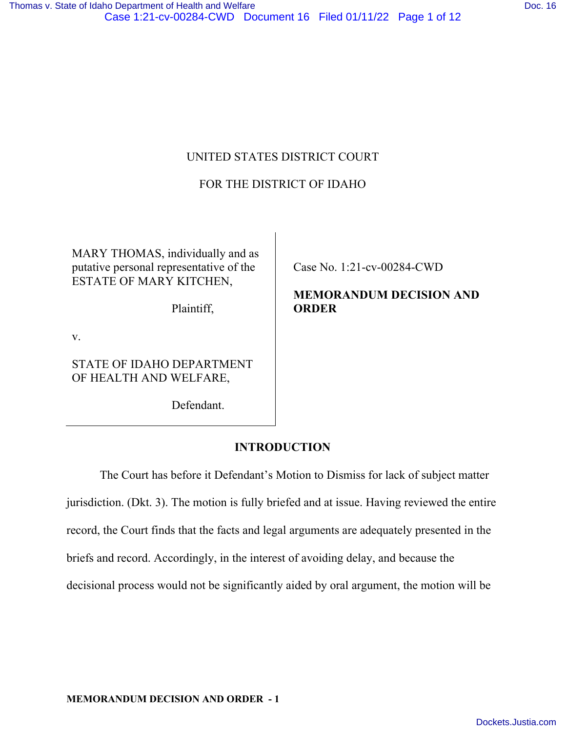# UNITED STATES DISTRICT COURT

# FOR THE DISTRICT OF IDAHO

MARY THOMAS, individually and as putative personal representative of the ESTATE OF MARY KITCHEN,

Plaintiff,

v.

STATE OF IDAHO DEPARTMENT OF HEALTH AND WELFARE,

Defendant.

Case No. 1:21-cv-00284-CWD

**MEMORANDUM DECISION AND ORDER** 

# **INTRODUCTION**

 The Court has before it Defendant's Motion to Dismiss for lack of subject matter jurisdiction. (Dkt. 3). The motion is fully briefed and at issue. Having reviewed the entire record, the Court finds that the facts and legal arguments are adequately presented in the briefs and record. Accordingly, in the interest of avoiding delay, and because the decisional process would not be significantly aided by oral argument, the motion will be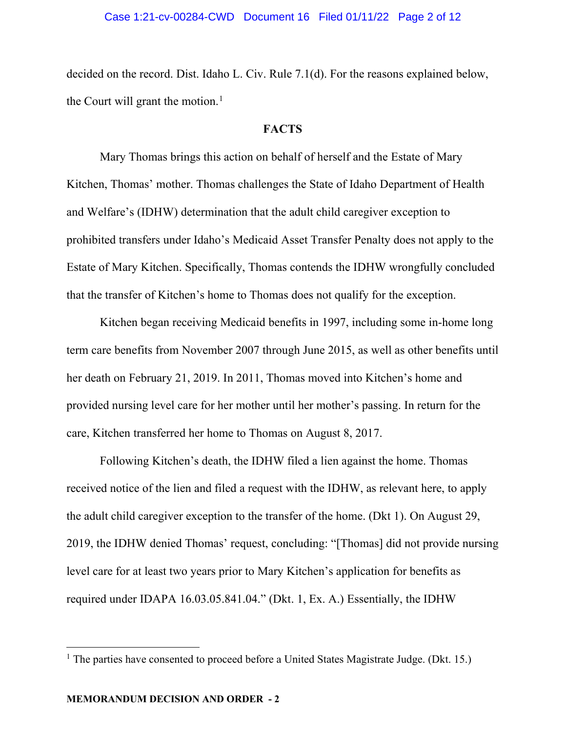#### Case 1:21-cv-00284-CWD Document 16 Filed 01/11/22 Page 2 of 12

decided on the record. Dist. Idaho L. Civ. Rule 7.1(d). For the reasons explained below, the Court will grant the motion.<sup>[1](#page-1-0)</sup>

# **FACTS**

 Mary Thomas brings this action on behalf of herself and the Estate of Mary Kitchen, Thomas' mother. Thomas challenges the State of Idaho Department of Health and Welfare's (IDHW) determination that the adult child caregiver exception to prohibited transfers under Idaho's Medicaid Asset Transfer Penalty does not apply to the Estate of Mary Kitchen. Specifically, Thomas contends the IDHW wrongfully concluded that the transfer of Kitchen's home to Thomas does not qualify for the exception.

Kitchen began receiving Medicaid benefits in 1997, including some in-home long term care benefits from November 2007 through June 2015, as well as other benefits until her death on February 21, 2019. In 2011, Thomas moved into Kitchen's home and provided nursing level care for her mother until her mother's passing. In return for the care, Kitchen transferred her home to Thomas on August 8, 2017.

Following Kitchen's death, the IDHW filed a lien against the home. Thomas received notice of the lien and filed a request with the IDHW, as relevant here, to apply the adult child caregiver exception to the transfer of the home. (Dkt 1). On August 29, 2019, the IDHW denied Thomas' request, concluding: "[Thomas] did not provide nursing level care for at least two years prior to Mary Kitchen's application for benefits as required under IDAPA 16.03.05.841.04." (Dkt. 1, Ex. A.) Essentially, the IDHW

<span id="page-1-0"></span><sup>&</sup>lt;sup>1</sup> The parties have consented to proceed before a United States Magistrate Judge. (Dkt. 15.)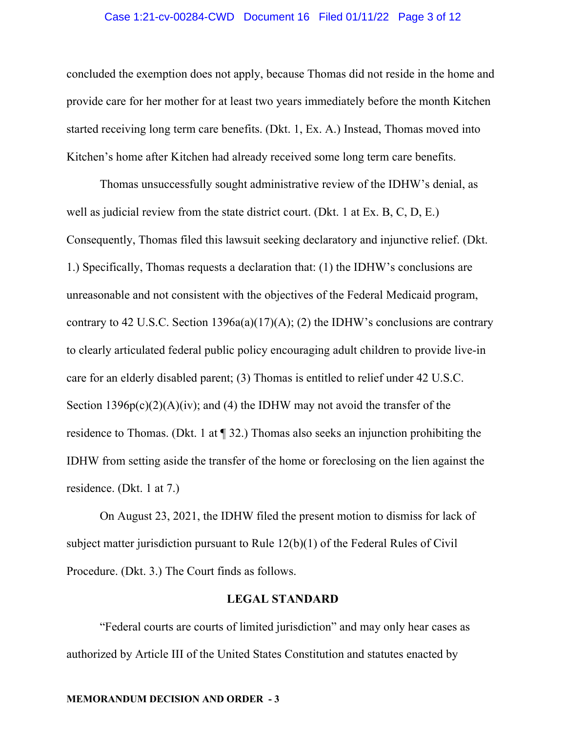#### Case 1:21-cv-00284-CWD Document 16 Filed 01/11/22 Page 3 of 12

concluded the exemption does not apply, because Thomas did not reside in the home and provide care for her mother for at least two years immediately before the month Kitchen started receiving long term care benefits. (Dkt. 1, Ex. A.) Instead, Thomas moved into Kitchen's home after Kitchen had already received some long term care benefits.

Thomas unsuccessfully sought administrative review of the IDHW's denial, as well as judicial review from the state district court. (Dkt. 1 at Ex. B, C, D, E.) Consequently, Thomas filed this lawsuit seeking declaratory and injunctive relief. (Dkt. 1.) Specifically, Thomas requests a declaration that: (1) the IDHW's conclusions are unreasonable and not consistent with the objectives of the Federal Medicaid program, contrary to 42 U.S.C. Section 1396a(a)(17)(A); (2) the IDHW's conclusions are contrary to clearly articulated federal public policy encouraging adult children to provide live-in care for an elderly disabled parent; (3) Thomas is entitled to relief under 42 U.S.C. Section  $1396p(c)(2)(A)(iv)$ ; and (4) the IDHW may not avoid the transfer of the residence to Thomas. (Dkt. 1 at ¶ 32.) Thomas also seeks an injunction prohibiting the IDHW from setting aside the transfer of the home or foreclosing on the lien against the residence. (Dkt. 1 at 7.)

On August 23, 2021, the IDHW filed the present motion to dismiss for lack of subject matter jurisdiction pursuant to Rule 12(b)(1) of the Federal Rules of Civil Procedure. (Dkt. 3.) The Court finds as follows.

## **LEGAL STANDARD**

"Federal courts are courts of limited jurisdiction" and may only hear cases as authorized by Article III of the United States Constitution and statutes enacted by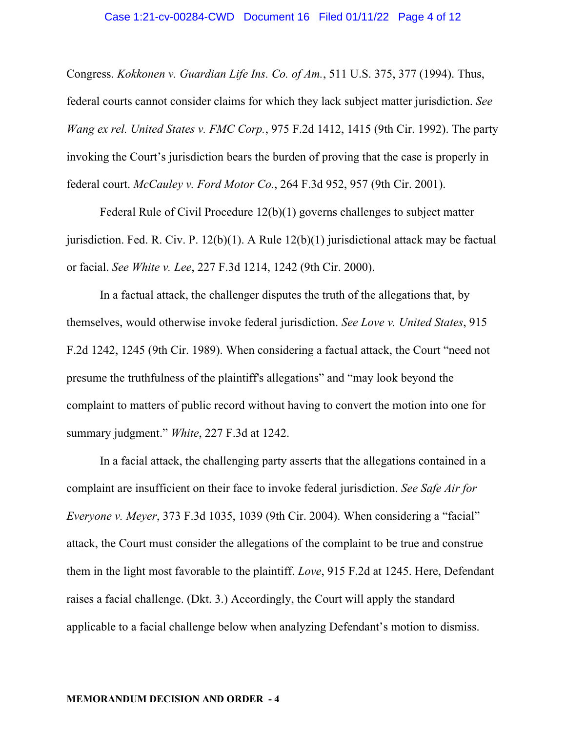#### Case 1:21-cv-00284-CWD Document 16 Filed 01/11/22 Page 4 of 12

Congress. *Kokkonen v. Guardian Life Ins. Co. of Am.*, 511 U.S. 375, 377 (1994). Thus, federal courts cannot consider claims for which they lack subject matter jurisdiction. *See Wang ex rel. United States v. FMC Corp.*, 975 F.2d 1412, 1415 (9th Cir. 1992). The party invoking the Court's jurisdiction bears the burden of proving that the case is properly in federal court. *McCauley v. Ford Motor Co.*, 264 F.3d 952, 957 (9th Cir. 2001).

Federal Rule of Civil Procedure 12(b)(1) governs challenges to subject matter jurisdiction. Fed. R. Civ. P. 12(b)(1). A Rule 12(b)(1) jurisdictional attack may be factual or facial. *See White v. Lee*, 227 F.3d 1214, 1242 (9th Cir. 2000).

In a factual attack, the challenger disputes the truth of the allegations that, by themselves, would otherwise invoke federal jurisdiction. *See Love v. United States*, 915 F.2d 1242, 1245 (9th Cir. 1989). When considering a factual attack, the Court "need not presume the truthfulness of the plaintiff's allegations" and "may look beyond the complaint to matters of public record without having to convert the motion into one for summary judgment." *White*, 227 F.3d at 1242.

In a facial attack, the challenging party asserts that the allegations contained in a complaint are insufficient on their face to invoke federal jurisdiction. *See Safe Air for Everyone v. Meyer*, 373 F.3d 1035, 1039 (9th Cir. 2004). When considering a "facial" attack, the Court must consider the allegations of the complaint to be true and construe them in the light most favorable to the plaintiff. *Love*, 915 F.2d at 1245. Here, Defendant raises a facial challenge. (Dkt. 3.) Accordingly, the Court will apply the standard applicable to a facial challenge below when analyzing Defendant's motion to dismiss.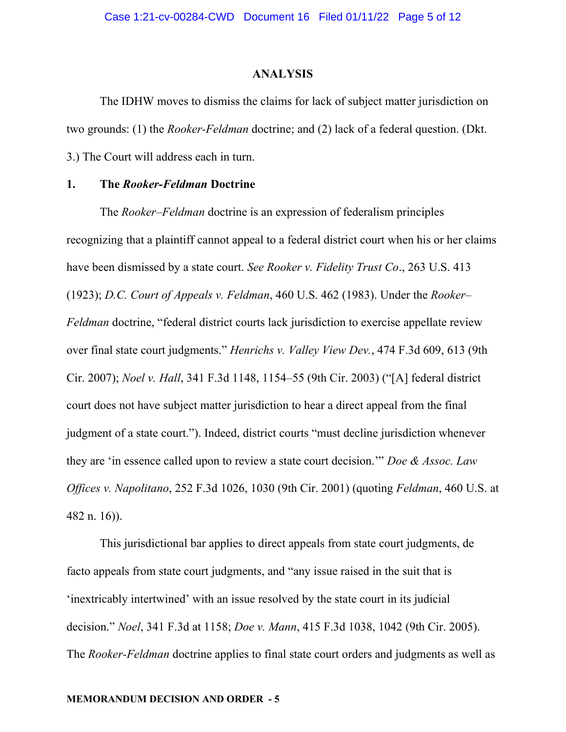## **ANALYSIS**

 The IDHW moves to dismiss the claims for lack of subject matter jurisdiction on two grounds: (1) the *Rooker-Feldman* doctrine; and (2) lack of a federal question. (Dkt. 3.) The Court will address each in turn.

## **1. The** *Rooker-Feldman* **Doctrine**

The *Rooker–Feldman* doctrine is an expression of federalism principles recognizing that a plaintiff cannot appeal to a federal district court when his or her claims have been dismissed by a state court. *See Rooker v. Fidelity Trust Co*., 263 U.S. 413 (1923); *D.C. Court of Appeals v. Feldman*, 460 U.S. 462 (1983). Under the *Rooker– Feldman* doctrine, "federal district courts lack jurisdiction to exercise appellate review over final state court judgments." *Henrichs v. Valley View Dev.*, 474 F.3d 609, 613 (9th Cir. 2007); *Noel v. Hall*, 341 F.3d 1148, 1154–55 (9th Cir. 2003) ("[A] federal district court does not have subject matter jurisdiction to hear a direct appeal from the final judgment of a state court."). Indeed, district courts "must decline jurisdiction whenever they are 'in essence called upon to review a state court decision.'" *Doe & Assoc. Law Offices v. Napolitano*, 252 F.3d 1026, 1030 (9th Cir. 2001) (quoting *Feldman*, 460 U.S. at 482 n. 16)).

This jurisdictional bar applies to direct appeals from state court judgments, de facto appeals from state court judgments, and "any issue raised in the suit that is 'inextricably intertwined' with an issue resolved by the state court in its judicial decision." *Noel*, 341 F.3d at 1158; *Doe v. Mann*, 415 F.3d 1038, 1042 (9th Cir. 2005). The *Rooker-Feldman* doctrine applies to final state court orders and judgments as well as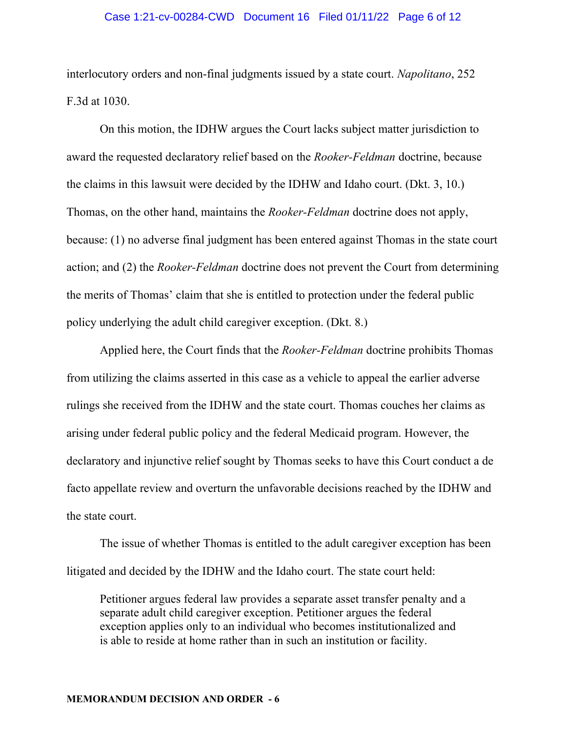#### Case 1:21-cv-00284-CWD Document 16 Filed 01/11/22 Page 6 of 12

interlocutory orders and non-final judgments issued by a state court. *Napolitano*, 252 F.3d at 1030.

On this motion, the IDHW argues the Court lacks subject matter jurisdiction to award the requested declaratory relief based on the *Rooker-Feldman* doctrine, because the claims in this lawsuit were decided by the IDHW and Idaho court. (Dkt. 3, 10.) Thomas, on the other hand, maintains the *Rooker-Feldman* doctrine does not apply, because: (1) no adverse final judgment has been entered against Thomas in the state court action; and (2) the *Rooker-Feldman* doctrine does not prevent the Court from determining the merits of Thomas' claim that she is entitled to protection under the federal public policy underlying the adult child caregiver exception. (Dkt. 8.)

Applied here, the Court finds that the *Rooker-Feldman* doctrine prohibits Thomas from utilizing the claims asserted in this case as a vehicle to appeal the earlier adverse rulings she received from the IDHW and the state court. Thomas couches her claims as arising under federal public policy and the federal Medicaid program. However, the declaratory and injunctive relief sought by Thomas seeks to have this Court conduct a de facto appellate review and overturn the unfavorable decisions reached by the IDHW and the state court.

The issue of whether Thomas is entitled to the adult caregiver exception has been litigated and decided by the IDHW and the Idaho court. The state court held:

Petitioner argues federal law provides a separate asset transfer penalty and a separate adult child caregiver exception. Petitioner argues the federal exception applies only to an individual who becomes institutionalized and is able to reside at home rather than in such an institution or facility.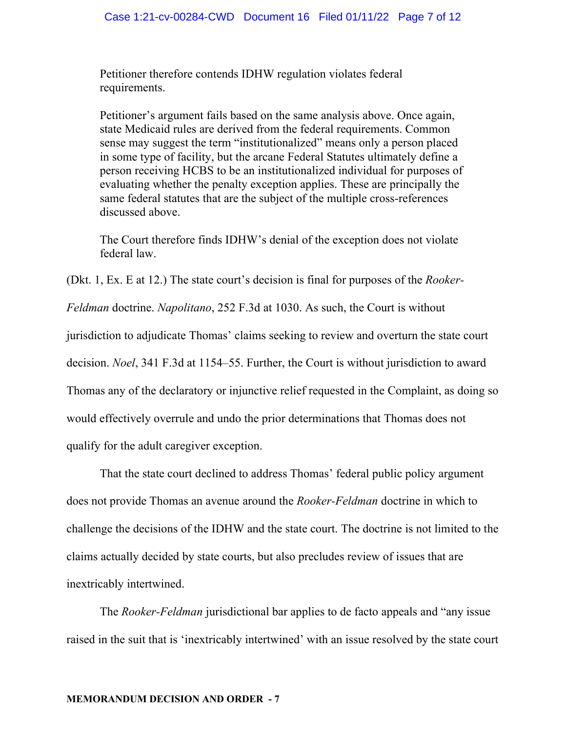Petitioner therefore contends IDHW regulation violates federal requirements.

Petitioner's argument fails based on the same analysis above. Once again, state Medicaid rules are derived from the federal requirements. Common sense may suggest the term "institutionalized" means only a person placed in some type of facility, but the arcane Federal Statutes ultimately define a person receiving HCBS to be an institutionalized individual for purposes of evaluating whether the penalty exception applies. These are principally the same federal statutes that are the subject of the multiple cross-references discussed above.

The Court therefore finds IDHW's denial of the exception does not violate federal law.

(Dkt. 1, Ex. E at 12.) The state court's decision is final for purposes of the *Rooker-*

*Feldman* doctrine. *Napolitano*, 252 F.3d at 1030. As such, the Court is without

jurisdiction to adjudicate Thomas' claims seeking to review and overturn the state court

decision. *Noel*, 341 F.3d at 1154–55. Further, the Court is without jurisdiction to award

Thomas any of the declaratory or injunctive relief requested in the Complaint, as doing so

would effectively overrule and undo the prior determinations that Thomas does not

qualify for the adult caregiver exception.

That the state court declined to address Thomas' federal public policy argument does not provide Thomas an avenue around the *Rooker-Feldman* doctrine in which to challenge the decisions of the IDHW and the state court. The doctrine is not limited to the claims actually decided by state courts, but also precludes review of issues that are inextricably intertwined.

The *Rooker-Feldman* jurisdictional bar applies to de facto appeals and "any issue raised in the suit that is 'inextricably intertwined' with an issue resolved by the state court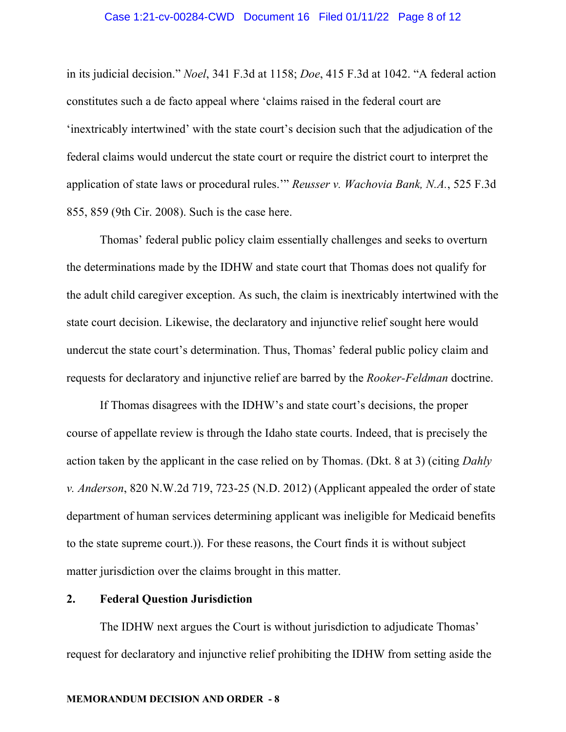#### Case 1:21-cv-00284-CWD Document 16 Filed 01/11/22 Page 8 of 12

in its judicial decision." *Noel*, 341 F.3d at 1158; *Doe*, 415 F.3d at 1042. "A federal action constitutes such a de facto appeal where 'claims raised in the federal court are 'inextricably intertwined' with the state court's decision such that the adjudication of the federal claims would undercut the state court or require the district court to interpret the application of state laws or procedural rules.'" *Reusser v. Wachovia Bank, N.A.*, 525 F.3d 855, 859 (9th Cir. 2008). Such is the case here.

Thomas' federal public policy claim essentially challenges and seeks to overturn the determinations made by the IDHW and state court that Thomas does not qualify for the adult child caregiver exception. As such, the claim is inextricably intertwined with the state court decision. Likewise, the declaratory and injunctive relief sought here would undercut the state court's determination. Thus, Thomas' federal public policy claim and requests for declaratory and injunctive relief are barred by the *Rooker-Feldman* doctrine.

If Thomas disagrees with the IDHW's and state court's decisions, the proper course of appellate review is through the Idaho state courts. Indeed, that is precisely the action taken by the applicant in the case relied on by Thomas. (Dkt. 8 at 3) (citing *Dahly v. Anderson*, 820 N.W.2d 719, 723-25 (N.D. 2012) (Applicant appealed the order of state department of human services determining applicant was ineligible for Medicaid benefits to the state supreme court.)). For these reasons, the Court finds it is without subject matter jurisdiction over the claims brought in this matter.

## **2. Federal Question Jurisdiction**

The IDHW next argues the Court is without jurisdiction to adjudicate Thomas' request for declaratory and injunctive relief prohibiting the IDHW from setting aside the

#### **MEMORANDUM DECISION AND ORDER - 8**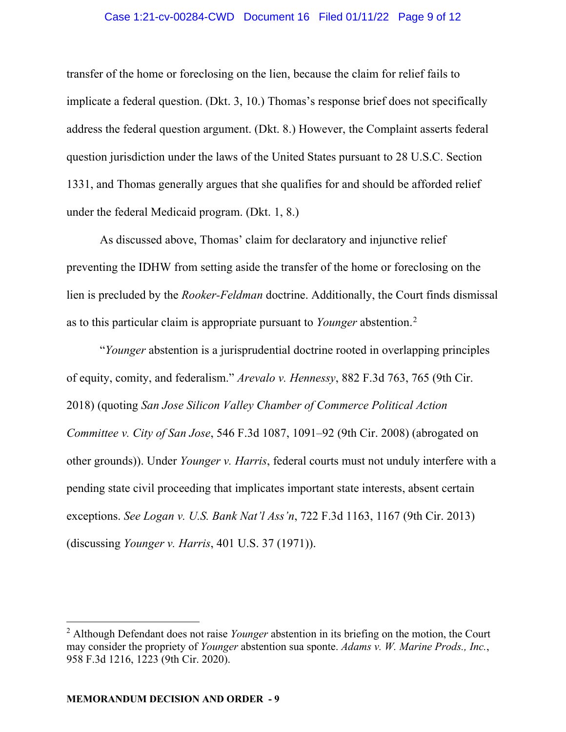#### Case 1:21-cv-00284-CWD Document 16 Filed 01/11/22 Page 9 of 12

transfer of the home or foreclosing on the lien, because the claim for relief fails to implicate a federal question. (Dkt. 3, 10.) Thomas's response brief does not specifically address the federal question argument. (Dkt. 8.) However, the Complaint asserts federal question jurisdiction under the laws of the United States pursuant to 28 U.S.C. Section 1331, and Thomas generally argues that she qualifies for and should be afforded relief under the federal Medicaid program. (Dkt. 1, 8.)

 As discussed above, Thomas' claim for declaratory and injunctive relief preventing the IDHW from setting aside the transfer of the home or foreclosing on the lien is precluded by the *Rooker-Feldman* doctrine. Additionally, the Court finds dismissal as to this particular claim is appropriate pursuant to *Younger* abstention.[2](#page-8-0)

 "*Younger* abstention is a jurisprudential doctrine rooted in overlapping principles of equity, comity, and federalism." *Arevalo v. Hennessy*, 882 F.3d 763, 765 (9th Cir. 2018) (quoting *San Jose Silicon Valley Chamber of Commerce Political Action Committee v. City of San Jose*, 546 F.3d 1087, 1091–92 (9th Cir. 2008) (abrogated on other grounds)). Under *Younger v. Harris*, federal courts must not unduly interfere with a pending state civil proceeding that implicates important state interests, absent certain exceptions. *See Logan v. U.S. Bank Nat'l Ass'n*, 722 F.3d 1163, 1167 (9th Cir. 2013) (discussing *Younger v. Harris*, 401 U.S. 37 (1971)).

<span id="page-8-0"></span><sup>2</sup> Although Defendant does not raise *Younger* abstention in its briefing on the motion, the Court may consider the propriety of *Younger* abstention sua sponte. *Adams v. W. Marine Prods., Inc.*, 958 F.3d 1216, 1223 (9th Cir. 2020).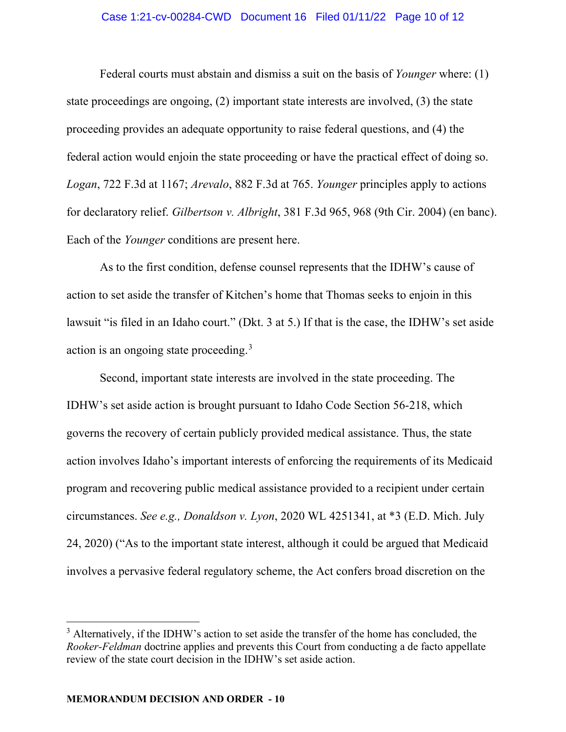#### Case 1:21-cv-00284-CWD Document 16 Filed 01/11/22 Page 10 of 12

Federal courts must abstain and dismiss a suit on the basis of *Younger* where: (1) state proceedings are ongoing, (2) important state interests are involved, (3) the state proceeding provides an adequate opportunity to raise federal questions, and (4) the federal action would enjoin the state proceeding or have the practical effect of doing so. *Logan*, 722 F.3d at 1167; *Arevalo*, 882 F.3d at 765. *Younger* principles apply to actions for declaratory relief. *Gilbertson v. Albright*, 381 F.3d 965, 968 (9th Cir. 2004) (en banc). Each of the *Younger* conditions are present here.

As to the first condition, defense counsel represents that the IDHW's cause of action to set aside the transfer of Kitchen's home that Thomas seeks to enjoin in this lawsuit "is filed in an Idaho court." (Dkt. 3 at 5.) If that is the case, the IDHW's set aside action is an ongoing state proceeding.<sup>[3](#page-9-0)</sup>

Second, important state interests are involved in the state proceeding. The IDHW's set aside action is brought pursuant to Idaho Code Section 56-218, which governs the recovery of certain publicly provided medical assistance. Thus, the state action involves Idaho's important interests of enforcing the requirements of its Medicaid program and recovering public medical assistance provided to a recipient under certain circumstances. *See e.g., Donaldson v. Lyon*, 2020 WL 4251341, at \*3 (E.D. Mich. July 24, 2020) ("As to the important state interest, although it could be argued that Medicaid involves a pervasive federal regulatory scheme, the Act confers broad discretion on the

<span id="page-9-0"></span> $3$  Alternatively, if the IDHW's action to set aside the transfer of the home has concluded, the *Rooker-Feldman* doctrine applies and prevents this Court from conducting a de facto appellate review of the state court decision in the IDHW's set aside action.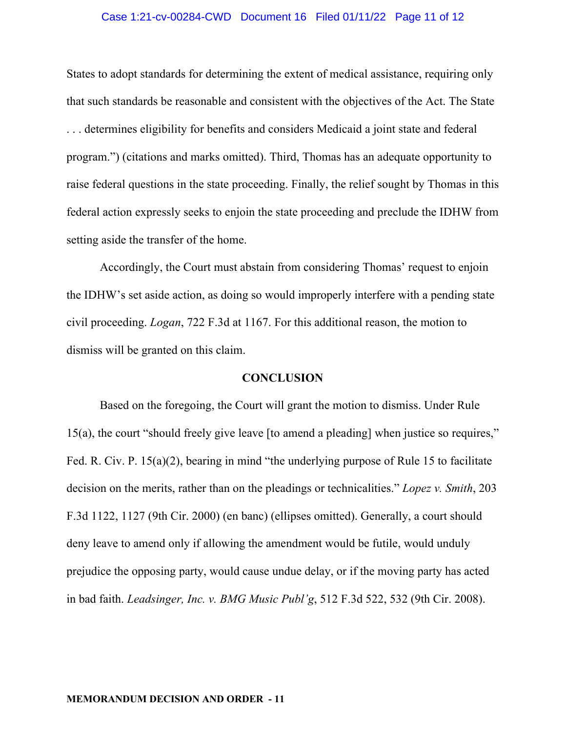#### Case 1:21-cv-00284-CWD Document 16 Filed 01/11/22 Page 11 of 12

States to adopt standards for determining the extent of medical assistance, requiring only that such standards be reasonable and consistent with the objectives of the Act. The State . . . determines eligibility for benefits and considers Medicaid a joint state and federal program.") (citations and marks omitted). Third, Thomas has an adequate opportunity to raise federal questions in the state proceeding. Finally, the relief sought by Thomas in this federal action expressly seeks to enjoin the state proceeding and preclude the IDHW from setting aside the transfer of the home.

Accordingly, the Court must abstain from considering Thomas' request to enjoin the IDHW's set aside action, as doing so would improperly interfere with a pending state civil proceeding. *Logan*, 722 F.3d at 1167. For this additional reason, the motion to dismiss will be granted on this claim.

# **CONCLUSION**

Based on the foregoing, the Court will grant the motion to dismiss. Under Rule 15(a), the court "should freely give leave [to amend a pleading] when justice so requires," Fed. R. Civ. P. 15(a)(2), bearing in mind "the underlying purpose of Rule 15 to facilitate decision on the merits, rather than on the pleadings or technicalities." *Lopez v. Smith*, 203 F.3d 1122, 1127 (9th Cir. 2000) (en banc) (ellipses omitted). Generally, a court should deny leave to amend only if allowing the amendment would be futile, would unduly prejudice the opposing party, would cause undue delay, or if the moving party has acted in bad faith. *Leadsinger, Inc. v. BMG Music Publ'g*, 512 F.3d 522, 532 (9th Cir. 2008).

#### **MEMORANDUM DECISION AND ORDER - 11**